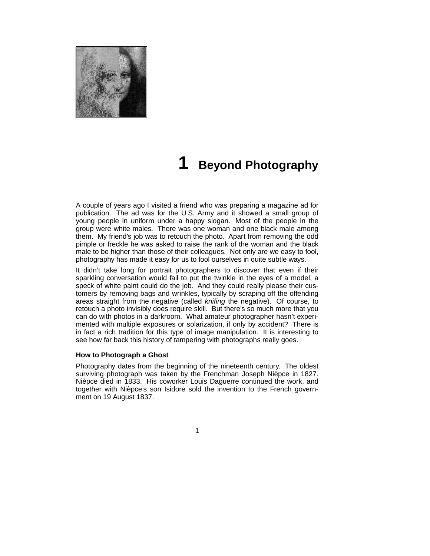

# **1 Beyond Photography**

A couple of years ago I visited a friend who was preparing a magazine ad for publication. The ad was for the U.S. Army and it showed a small group of young people in uniform under a happy slogan. Most of the people in the group were white males. There was one woman and one black male among them. My friend's job was to retouch the photo. Apart from removing the odd pimple or freckle he was asked to raise the rank of the woman and the black male to be higher than those of their colleagues. Not only are we easy to fool, photography has made it easy for us to fool ourselves in quite subtle ways.

It didn't take long for portrait photographers to discover that even if their sparkling conversation would fail to put the twinkle in the eyes of a model, a speck of white paint could do the job. And they could really please their customers by removing bags and wrinkles, typically by scraping off the offending areas straight from the negative (called knifing the negative). Of course, to retouch a photo invisibly does require skill. But there's so much more that you can do with photos in a darkroom. What amateur photographer hasn't experimented with multiple exposures or solarization, if only by accident? There is in fact a rich tradition for this type of image manipulation. It is interesting to see how far back this history of tampering with photographs really goes.

## **How to Photograph a Ghost**

Photography dates from the beginning of the nineteenth century. The oldest surviving photograph was taken by the Frenchman Joseph Nièpce in 1827. Nièpce died in 1833. His coworker Louis Daguerre continued the work, and together with Nièpce's son Isidore sold the invention to the French government on 19 August 1837.

1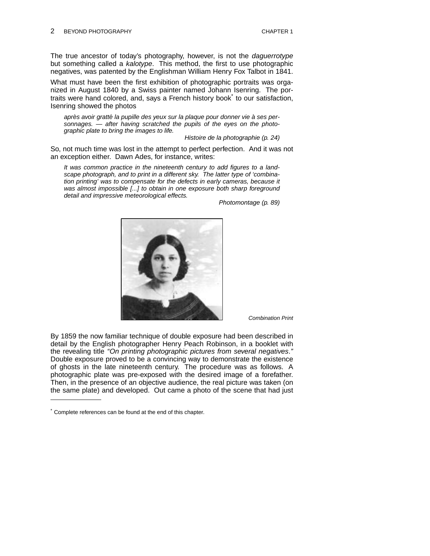The true ancestor of today's photography, however, is not the daguerrotype but something called a kalotype. This method, the first to use photographic negatives, was patented by the Englishman William Henry Fox Talbot in 1841.

What must have been the first exhibition of photographic portraits was organized in August 1840 by a Swiss painter named Johann Isenring. The portraits were hand colored, and, says a French history book to our satisfaction, Isenring showed the photos

après avoir gratté la pupille des yeux sur la plaque pour donner vie à ses personnages. — after having scratched the pupils of the eyes on the photographic plate to bring the images to life.

Histoire de la photographie (p. 24)

So, not much time was lost in the attempt to perfect perfection. And it was not an exception either. Dawn Ades, for instance, writes:

It was common practice in the nineteenth century to add figures to a landscape photograph, and to print in a different sky. The latter type of 'combination printing' was to compensate for the defects in early cameras, because it was almost impossible [...] to obtain in one exposure both sharp foreground detail and impressive meteorological effects.

Photomontage (p. 89)



Combination Print

By 1859 the now familiar technique of double exposure had been described in detail by the English photographer Henry Peach Robinson, in a booklet with the revealing title "On printing photographic pictures from several negatives." Double exposure proved to be a convincing way to demonstrate the existence of ghosts in the late nineteenth century. The procedure was as follows. A photographic plate was pre-exposed with the desired image of a forefather. Then, in the presence of an objective audience, the real picture was taken (on the same plate) and developed. Out came a photo of the scene that had just

Complete references can be found at the end of this chapter.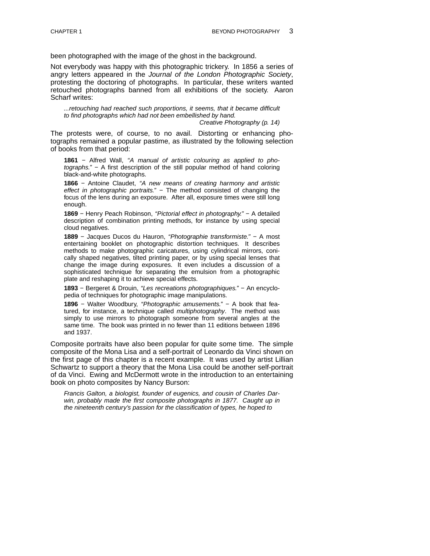been photographed with the image of the ghost in the background.

Not everybody was happy with this photographic trickery. In 1856 a series of angry letters appeared in the Journal of the London Photographic Society, protesting the doctoring of photographs. In particular, these writers wanted retouched photographs banned from all exhibitions of the society. Aaron Scharf writes:

...retouching had reached such proportions, it seems, that it became difficult to find photographs which had not been embellished by hand.

Creative Photography (p. 14)

The protests were, of course, to no avail. Distorting or enhancing photographs remained a popular pastime, as illustrated by the following selection of books from that period:

**1861** − Alfred Wall, "A manual of artistic colouring as applied to photographs." - A first description of the still popular method of hand coloring black-and-white photographs.

**1866** – Antoine Claudet, "A new means of creating harmony and artistic effect in photographic portraits. $\bar{r}$  – The method consisted of changing the focus of the lens during an exposure. After all, exposure times were still long enough.

**1869** − Henry Peach Robinson, "Pictorial effect in photography." – A detailed description of combination printing methods, for instance by using special cloud negatives.

**1889** – Jacques Ducos du Hauron, "Photographie transformiste." – A most entertaining booklet on photographic distortion techniques. It describes methods to make photographic caricatures, using cylindrical mirrors, conically shaped negatives, tilted printing paper, or by using special lenses that change the image during exposures. It even includes a discussion of a sophisticated technique for separating the emulsion from a photographic plate and reshaping it to achieve special effects.

**1893** – Bergeret & Drouin, "Les recreations photographiques." – An encyclopedia of techniques for photographic image manipulations.

1896 - Walter Woodbury, "Photographic amusements." - A book that featured, for instance, a technique called multiphotography. The method was simply to use mirrors to photograph someone from several angles at the same time. The book was printed in no fewer than 11 editions between 1896 and 1937.

Composite portraits have also been popular for quite some time. The simple composite of the Mona Lisa and a self-portrait of Leonardo da Vinci shown on the first page of this chapter is a recent example. It was used by artist Lillian Schwartz to support a theory that the Mona Lisa could be another self-portrait of da Vinci. Ewing and McDermott wrote in the introduction to an entertaining book on photo composites by Nancy Burson:

Francis Galton, a biologist, founder of eugenics, and cousin of Charles Darwin, probably made the first composite photographs in 1877. Caught up in the nineteenth century's passion for the classification of types, he hoped to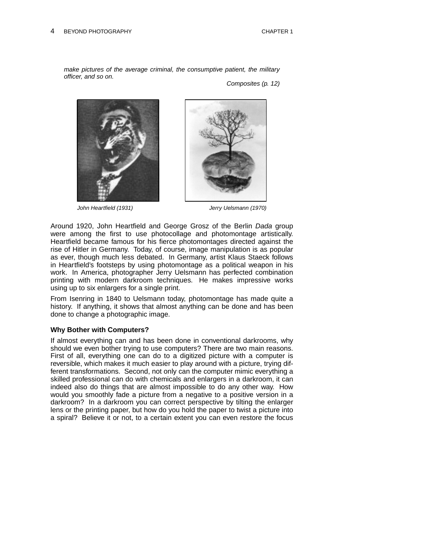make pictures of the average criminal, the consumptive patient, the military officer, and so on.

Composites (p. 12)





John Heartfield (1931) **Jerry Uelsmann (1970)** 

Around 1920, John Heartfield and George Grosz of the Berlin Dada group were among the first to use photocollage and photomontage artistically. Hear tfield became famous for his fierce photomontages directed against the rise of Hitler in Germany. Today, of course, image manipulation is as popular as ever, though much less debated. In Germany, artist Klaus Staeck follows in Heartfield's footsteps by using photomontage as a political weapon in his work. In America, photographer Jerry Uelsmann has perfected combination printing with modern darkroom techniques. He makes impressive works using up to six enlargers for a single print.

From Isenring in 1840 to Uelsmann today, photomontage has made quite a history. If anything, it shows that almost anything can be done and has been done to change a photographic image.

#### **Why Bother with Computers?**

If almost everything can and has been done in conventional darkrooms, why should we even bother trying to use computers? There are two main reasons. First of all, everything one can do to a digitized picture with a computer is reversible, which makes it much easier to play around with a picture, trying different transformations. Second, not only can the computer mimic everything a skilled professional can do with chemicals and enlargers in a darkroom, it can indeed also do things that are almost impossible to do any other way. How would you smoothly fade a picture from a negative to a positive version in a darkroom? In a darkroom you can correct perspective by tilting the enlarger lens or the printing paper, but how do you hold the paper to twist a picture into a spiral? Believe it or not, to a certain extent you can even restore the focus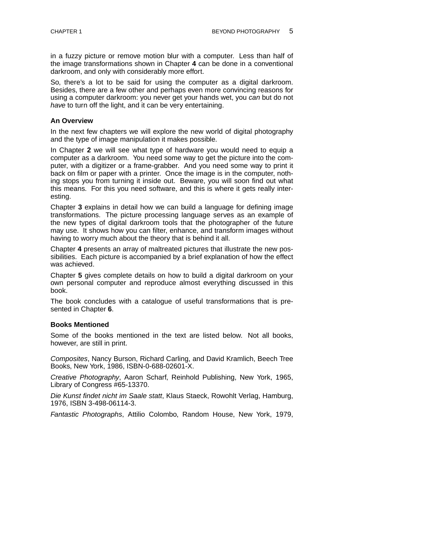in a fuzzy picture or remove motion blur with a computer. Less than half of the image transformations shown in Chapter 4 can be done in a conventional darkroom, and only with considerably more effort.

So, there's a lot to be said for using the computer as a digital darkroom. Besides, there are a few other and perhaps even more convincing reasons for using a computer darkroom: you never get your hands wet, you can but do not have to turn off the light, and it can be very entertaining.

### **An Overview**

In the next few chapters we will explore the new world of digital photography and the type of image manipulation it makes possible.

In Chapter **2** we will see what type of hardware you would need to equip a computer as a darkroom. You need some way to get the picture into the computer, with a digitizer or a frame-grabber. And you need some way to print it back on film or paper with a printer. Once the image is in the computer, nothing stops you from turning it inside out. Beware, you will soon find out what this means. For this you need software, and this is where it gets really interesting.

Chapter **3** explains in detail how we can build a language for defining image transfor mations. The picture processing language serves as an example of the new types of digital darkroom tools that the photographer of the future may use. It shows how you can filter, enhance, and transform images without having to worry much about the theory that is behind it all.

Chapter **4** presents an array of maltreated pictures that illustrate the new possibilities. Each picture is accompanied by a brief explanation of how the effect was achieved.

Chapter **5** gives complete details on how to build a digital darkroom on your own personal computer and reproduce almost everything discussed in this book.

The book concludes with a catalogue of useful transformations that is presented in Chapter **6**.

## **Books Mentioned**

Some of the books mentioned in the text are listed below. Not all books, however, are still in print.

Composites, Nancy Burson, Richard Carling, and David Kramlich, Beech Tree Books, New York, 1986, ISBN-0-688-02601-X.

Creative Photography, Aaron Scharf, Reinhold Publishing, New York, 1965, Library of Congress #65-13370.

Die Kunst findet nicht im Saale statt, Klaus Staeck, Rowohlt Verlag, Hamburg, 1976, ISBN 3-498-06114-3.

Fantastic Photographs, Attilio Colombo, Random House, New York, 1979,